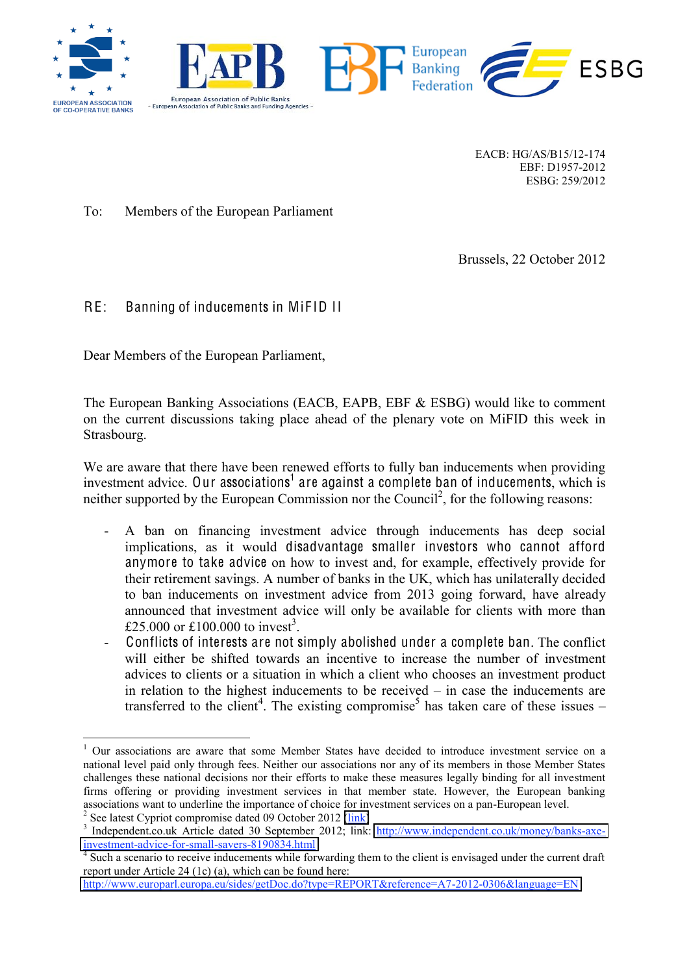





EACB: HG/AS/B15/12-174 EBF: D1957-2012 ESBG: 259/2012

**ESBG** 

To: Members of the European Parliament

Brussels, 22 October 2012

# RE: Banning of inducements in MiFID II

Dear Members of the European Parliament,

The European Banking Associations (EACB, EAPB, EBF & ESBG) would like to comment on the current discussions taking place ahead of the plenary vote on MiFID this week in Strasbourg.

We are aware that there have been renewed efforts to fully ban inducements when providing investment advice. Our associations<sup>1</sup> are against a complete ban of inducements, which is neither supported by the European Commission nor the Council<sup>2</sup>, for the following reasons:

- A ban on financing investment advice through inducements has deep social implications, as it would disadvantage smaller investors who cannot afford anymore to take advice on how to invest and, for example, effectively provide for their retirement savings. A number of banks in the UK, which has unilaterally decided to ban inducements on investment advice from 2013 going forward, have already announced that investment advice will only be available for clients with more than £25.000 or £100.000 to invest<sup>3</sup>.
- Conflicts of interests are not simply abolished under a complete ban. The conflict will either be shifted towards an incentive to increase the number of investment advices to clients or a situation in which a client who chooses an investment product in relation to the highest inducements to be received – in case the inducements are transferred to the client<sup>4</sup>. The existing compromise<sup>5</sup> has taken care of these issues –

<sup>&</sup>lt;sup>1</sup> Our associations are aware that some Member States have decided to introduce investment service on a national level paid only through fees. Neither our associations nor any of its members in those Member States challenges these national decisions nor their efforts to make these measures legally binding for all investment firms offering or providing investment services in that member state. However, the European banking associations want to underline the importance of choice for investment services on a pan-European level.<br>
<sup>2</sup> See latest Cypriot compromise dated 09 October 2012 [\(link\)](http://register.consilium.europa.eu/pdf/en/12/st14/st14748.en12.pdf)<br>
<sup>3</sup> Independent.co.uk Article dated 30 September 201

[investment-advice-for-small-savers-8190834.html](http://www.independent.co.uk/money/banks-axe-investment-advice-for-small-savers-8190834.html) <sup>4</sup> Such a scenario to receive inducements while forwarding them to the client is envisaged under the current draft

report under Article 24 (1c) (a), which can be found here:

<http://www.europarl.europa.eu/sides/getDoc.do?type=REPORT&reference=A7-2012-0306&language=EN>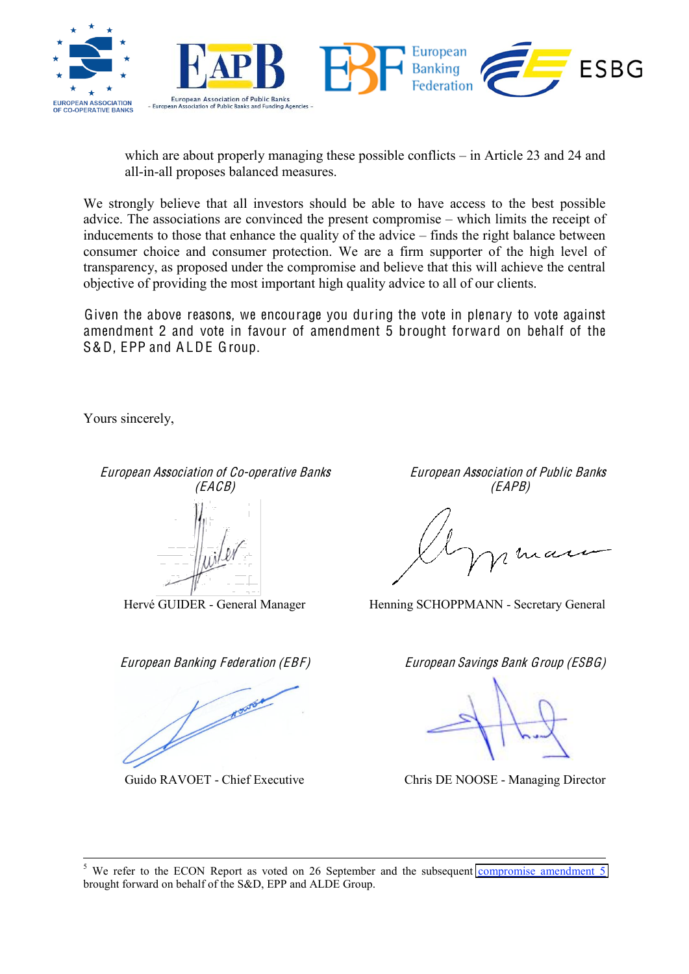

which are about properly managing these possible conflicts – in Article 23 and 24 and all-in-all proposes balanced measures.

We strongly believe that all investors should be able to have access to the best possible advice. The associations are convinced the present compromise – which limits the receipt of inducements to those that enhance the quality of the advice – finds the right balance between consumer choice and consumer protection. We are a firm supporter of the high level of transparency, as proposed under the compromise and believe that this will achieve the central objective of providing the most important high quality advice to all of our clients.

Given the above reasons, we encourage you during the vote in plenary to vote against amendment 2 and vote in favour of amendment 5 brought forward on behalf of the S&D, EPP and ALDE Group.

Yours sincerely,

Contractor of Contractor

Europ<sup>e</sup>an Association <sup>o</sup>f Co-op<sup>e</sup>rativ<sup>e</sup> Bank<sup>s</sup> Europ<sup>e</sup>an Association <sup>o</sup>f Publi<sup>c</sup> Bank<sup>s</sup> (EACB) (EAPB)

Hervé GUIDER - General Manager Henning SCHOPPMANN - Secretary General

Europ<sup>e</sup>an Banking Federation (EBF) Europ<sup>e</sup>an Saving<sup>s</sup> Bank Group (ESBG)

Guido RAVOET - Chief Executive Chris DE NOOSE - Managing Director

 $5$  We refer to the ECON Report as voted on 26 September and the subsequent [compromise amendment](http://www.europarl.europa.eu/sides/getDoc.do?pubRef=-//EP//NONSGML+AMD+A7-2012-0306+005-009+DOC+PDF+V0//EN)  $5$ brought forward on behalf of the S&D, EPP and ALDE Group.